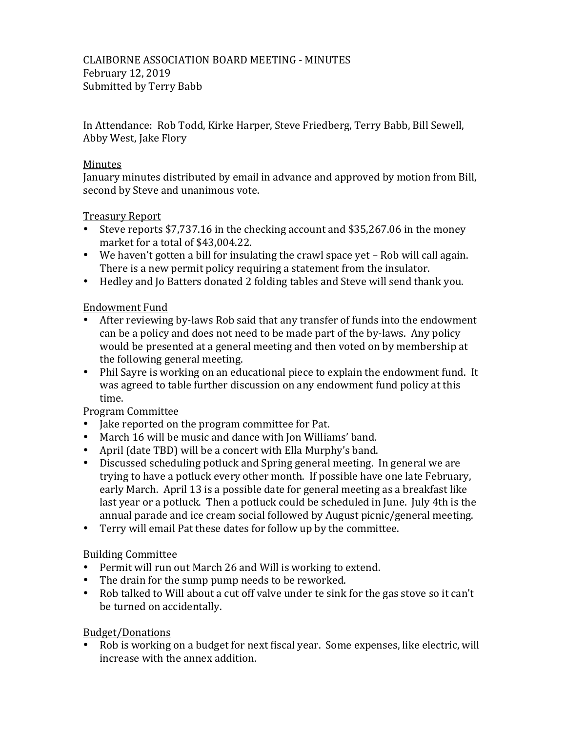CLAIBORNE ASSOCIATION BOARD MEETING - MINUTES February 12, 2019 Submitted by Terry Babb

In Attendance: Rob Todd, Kirke Harper, Steve Friedberg, Terry Babb, Bill Sewell, Abby West, Jake Flory

#### Minutes

January minutes distributed by email in advance and approved by motion from Bill, second by Steve and unanimous vote.

Treasury Report

- Steve reports  $$7,737.16$  in the checking account and  $$35,267.06$  in the money market for a total of \$43,004.22.
- We haven't gotten a bill for insulating the crawl space vet Rob will call again. There is a new permit policy requiring a statement from the insulator.
- Hedley and Jo Batters donated 2 folding tables and Steve will send thank you.

### **Endowment Fund**

- After reviewing by-laws Rob said that any transfer of funds into the endowment can be a policy and does not need to be made part of the by-laws. Any policy would be presented at a general meeting and then voted on by membership at the following general meeting.
- Phil Sayre is working on an educational piece to explain the endowment fund. It was agreed to table further discussion on any endowment fund policy at this time.

### Program Committee

- Jake reported on the program committee for Pat.
- March 16 will be music and dance with Jon Williams' band.
- April (date TBD) will be a concert with Ella Murphy's band.
- Discussed scheduling potluck and Spring general meeting. In general we are trying to have a potluck every other month. If possible have one late February, early March. April 13 is a possible date for general meeting as a breakfast like last year or a potluck. Then a potluck could be scheduled in June. July 4th is the annual parade and ice cream social followed by August picnic/general meeting.
- Terry will email Pat these dates for follow up by the committee.

### **Building Committee**

- Permit will run out March 26 and Will is working to extend.
- The drain for the sump pump needs to be reworked.
- Rob talked to Will about a cut off valve under te sink for the gas stove so it can't be turned on accidentally.

# Budget/Donations

• Rob is working on a budget for next fiscal year. Some expenses, like electric, will increase with the annex addition.